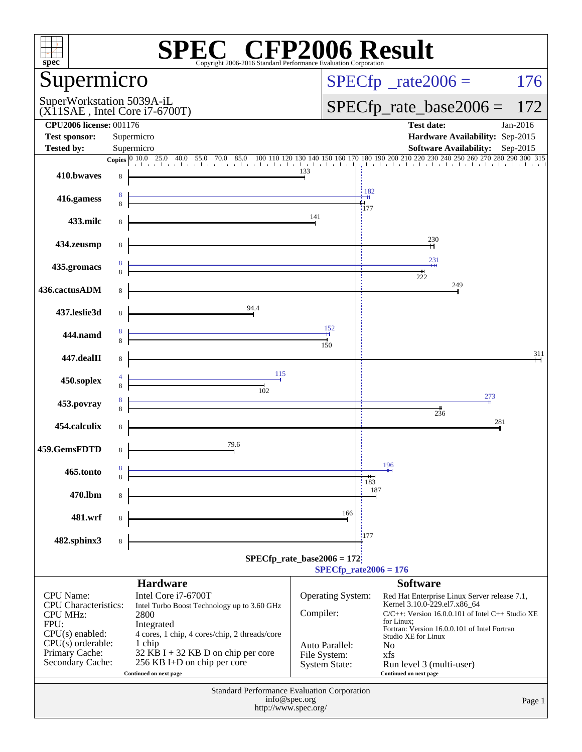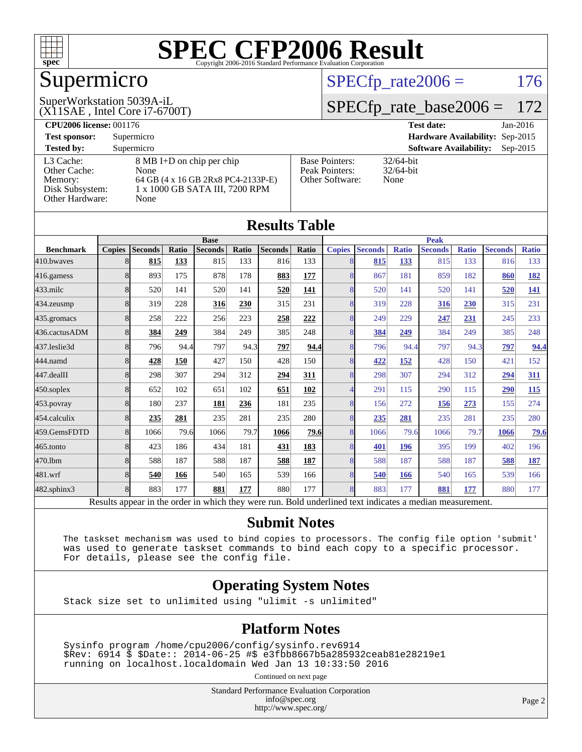

# Supermicro

 $SPECTp_rate2006 = 176$ 

(X11SAE , Intel Core i7-6700T) SuperWorkstation 5039A-iL

[SPECfp\\_rate\\_base2006 =](http://www.spec.org/auto/cpu2006/Docs/result-fields.html#SPECfpratebase2006) 172

| <b>CPU2006 license: 001176</b> |                                    |                       | $Jan-2016$<br><b>Test date:</b>             |
|--------------------------------|------------------------------------|-----------------------|---------------------------------------------|
| <b>Test sponsor:</b>           | Supermicro                         |                       | Hardware Availability: Sep-2015             |
| <b>Tested by:</b>              | Supermicro                         |                       | <b>Software Availability:</b><br>$Sep-2015$ |
| L3 Cache:                      | 8 MB I+D on chip per chip          | <b>Base Pointers:</b> | $32/64$ -bit                                |
| Other Cache:                   | None                               | Peak Pointers:        | $32/64$ -bit                                |
| Memory:                        | 64 GB (4 x 16 GB 2Rx8 PC4-2133P-E) | Other Software:       | None                                        |
| Disk Subsystem:                | 1 x 1000 GB SATA III, 7200 RPM     |                       |                                             |
| Other Hardware:                | None                               |                       |                                             |

|                  |               |                                                                                                          |       |                |       | <b>Results Table</b> |              |               |                |              |                |              |                |              |
|------------------|---------------|----------------------------------------------------------------------------------------------------------|-------|----------------|-------|----------------------|--------------|---------------|----------------|--------------|----------------|--------------|----------------|--------------|
|                  |               |                                                                                                          |       | <b>Base</b>    |       |                      |              |               |                |              | <b>Peak</b>    |              |                |              |
| <b>Benchmark</b> | <b>Copies</b> | <b>Seconds</b>                                                                                           | Ratio | <b>Seconds</b> | Ratio | <b>Seconds</b>       | <b>Ratio</b> | <b>Copies</b> | <b>Seconds</b> | <b>Ratio</b> | <b>Seconds</b> | <b>Ratio</b> | <b>Seconds</b> | <b>Ratio</b> |
| 410.bwayes       | 8             | 815                                                                                                      | 133   | 815            | 133   | 816                  | 133          | 8             | 815            | 133          | 815            | 133          | 816            | 133          |
| 416.gamess       | 8             | 893                                                                                                      | 175   | 878            | 178   | 883                  | 177          | 8             | 867            | 181          | 859            | 182          | 860            | 182          |
| $433$ .milc      | 8             | 520                                                                                                      | 141   | 520            | 141   | 520                  | 141          | 8             | 520            | 141          | 520            | 141          | 520            | <u>141</u>   |
| $434$ . zeusmp   | 8             | 319                                                                                                      | 228   | 316            | 230   | 315                  | 231          | 8             | 319            | 228          | 316            | 230          | 315            | 231          |
| 435.gromacs      | 8             | 258                                                                                                      | 222   | 256            | 223   | 258                  | 222          | 8             | 249            | 229          | 247            | 231          | 245            | 233          |
| 436.cactusADM    | 8             | 384                                                                                                      | 249   | 384            | 249   | 385                  | 248          | 8             | 384            | 249          | 384            | 249          | 385            | 248          |
| 437.leslie3d     | 8             | 796                                                                                                      | 94.4  | 797            | 94.3  | 797                  | 94.4         | 8             | 796            | 94.4         | 797            | 94.3         | 797            | 94.4         |
| 444.namd         | 8             | 428                                                                                                      | 150   | 427            | 150   | 428                  | 150          | 8             | 422            | 152          | 428            | 150          | 421            | 152          |
| $447$ .dealII    | 8             | 298                                                                                                      | 307   | 294            | 312   | 294                  | 311          | 8             | 298            | 307          | 294            | 312          | 294            | 311          |
| $450$ .soplex    | 8             | 652                                                                                                      | 102   | 651            | 102   | 651                  | 102          |               | 291            | 115          | 290            | 115          | 290            | 115          |
| 453.povray       | 8             | 180                                                                                                      | 237   | 181            | 236   | 181                  | 235          | 8             | 156            | 272          | 156            | 273          | 155            | 274          |
| 454.calculix     | 8             | 235                                                                                                      | 281   | 235            | 281   | 235                  | 280          | 8             | 235            | 281          | 235            | 281          | 235            | 280          |
| 459.GemsFDTD     | 8             | 1066                                                                                                     | 79.6  | 1066           | 79.7  | 1066                 | 79.6         | 8             | 1066           | 79.6         | 1066           | 79.7         | 1066           | 79.6         |
| $465$ .tonto     | 8             | 423                                                                                                      | 186   | 434            | 181   | 431                  | 183          | 8             | 401            | 196          | 395            | 199          | 402            | 196          |
| 470.1bm          | 8             | 588                                                                                                      | 187   | 588            | 187   | 588                  | <b>187</b>   | 8             | 588            | 187          | 588            | 187          | 588            | <u>187</u>   |
| 481.wrf          | 8             | 540                                                                                                      | 166   | 540            | 165   | 539                  | 166          | 8             | 540            | 166          | 540            | 165          | 539            | 166          |
| 482.sphinx3      | 8             | 883                                                                                                      | 177   | 881            | 177   | 880                  | 177          | 8             | 883            | 177          | 881            | 177          | 880            | 177          |
|                  |               | Results appear in the order in which they were run. Bold underlined text indicates a median measurement. |       |                |       |                      |              |               |                |              |                |              |                |              |

#### **[Submit Notes](http://www.spec.org/auto/cpu2006/Docs/result-fields.html#SubmitNotes)**

 The taskset mechanism was used to bind copies to processors. The config file option 'submit' was used to generate taskset commands to bind each copy to a specific processor. For details, please see the config file.

#### **[Operating System Notes](http://www.spec.org/auto/cpu2006/Docs/result-fields.html#OperatingSystemNotes)**

Stack size set to unlimited using "ulimit -s unlimited"

#### **[Platform Notes](http://www.spec.org/auto/cpu2006/Docs/result-fields.html#PlatformNotes)**

 Sysinfo program /home/cpu2006/config/sysinfo.rev6914 \$Rev: 6914 \$ \$Date:: 2014-06-25 #\$ e3fbb8667b5a285932ceab81e28219e1 running on localhost.localdomain Wed Jan 13 10:33:50 2016

Continued on next page

Standard Performance Evaluation Corporation [info@spec.org](mailto:info@spec.org) <http://www.spec.org/>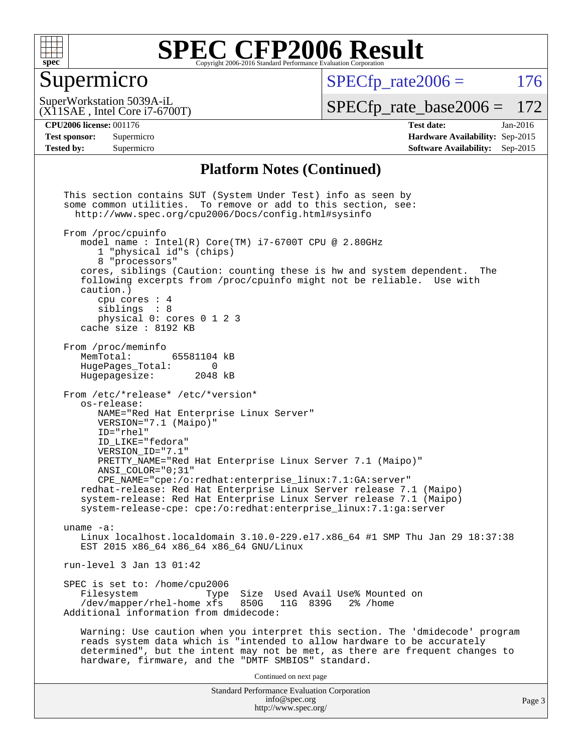

#### Supermicro

 $SPECTp\_rate2006 = 176$ 

(X11SAE , Intel Core i7-6700T) SuperWorkstation 5039A-iL

[SPECfp\\_rate\\_base2006 =](http://www.spec.org/auto/cpu2006/Docs/result-fields.html#SPECfpratebase2006) 172

#### **[CPU2006 license:](http://www.spec.org/auto/cpu2006/Docs/result-fields.html#CPU2006license)** 001176 **[Test date:](http://www.spec.org/auto/cpu2006/Docs/result-fields.html#Testdate)** Jan-2016

**[Test sponsor:](http://www.spec.org/auto/cpu2006/Docs/result-fields.html#Testsponsor)** Supermicro **[Hardware Availability:](http://www.spec.org/auto/cpu2006/Docs/result-fields.html#HardwareAvailability)** Sep-2015 **[Tested by:](http://www.spec.org/auto/cpu2006/Docs/result-fields.html#Testedby)** Supermicro **Supermicro [Software Availability:](http://www.spec.org/auto/cpu2006/Docs/result-fields.html#SoftwareAvailability)** Sep-2015

#### **[Platform Notes \(Continued\)](http://www.spec.org/auto/cpu2006/Docs/result-fields.html#PlatformNotes)**

Standard Performance Evaluation Corporation [info@spec.org](mailto:info@spec.org) <http://www.spec.org/> This section contains SUT (System Under Test) info as seen by some common utilities. To remove or add to this section, see: <http://www.spec.org/cpu2006/Docs/config.html#sysinfo> From /proc/cpuinfo model name : Intel(R) Core(TM) i7-6700T CPU @ 2.80GHz 1 "physical id"s (chips) 8 "processors" cores, siblings (Caution: counting these is hw and system dependent. The following excerpts from /proc/cpuinfo might not be reliable. Use with caution.) cpu cores : 4 siblings : 8 physical 0: cores 0 1 2 3 cache size : 8192 KB From /proc/meminfo MemTotal: 65581104 kB<br>HugePages Total: 0 HugePages\_Total: 0<br>Hugepagesize: 2048 kB Hugepagesize: From /etc/\*release\* /etc/\*version\* os-release: NAME="Red Hat Enterprise Linux Server" VERSION="7.1 (Maipo)" ID="rhel" ID\_LIKE="fedora" VERSION\_ID="7.1" PRETTY\_NAME="Red Hat Enterprise Linux Server 7.1 (Maipo)" ANSI\_COLOR="0;31" CPE\_NAME="cpe:/o:redhat:enterprise\_linux:7.1:GA:server" redhat-release: Red Hat Enterprise Linux Server release 7.1 (Maipo) system-release: Red Hat Enterprise Linux Server release 7.1 (Maipo) system-release-cpe: cpe:/o:redhat:enterprise\_linux:7.1:ga:server uname -a: Linux localhost.localdomain 3.10.0-229.el7.x86\_64 #1 SMP Thu Jan 29 18:37:38 EST 2015 x86\_64 x86\_64 x86\_64 GNU/Linux run-level 3 Jan 13 01:42 SPEC is set to: /home/cpu2006<br>Filesystem Type Type Size Used Avail Use% Mounted on<br>xfs 850G 11G 839G 2% /home /dev/mapper/rhel-home xfs 850G Additional information from dmidecode: Warning: Use caution when you interpret this section. The 'dmidecode' program reads system data which is "intended to allow hardware to be accurately determined", but the intent may not be met, as there are frequent changes to hardware, firmware, and the "DMTF SMBIOS" standard. Continued on next page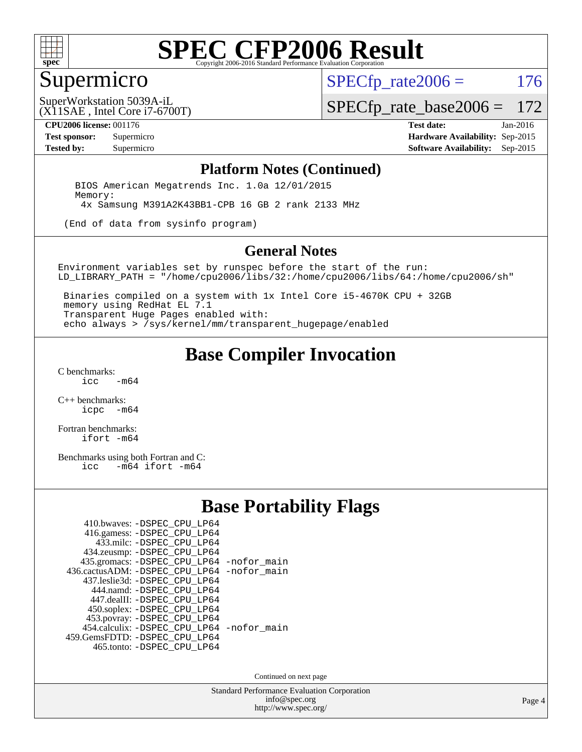

#### Supermicro

 $SPECTp\_rate2006 = 176$ 

(X11SAE , Intel Core i7-6700T) SuperWorkstation 5039A-iL

[SPECfp\\_rate\\_base2006 =](http://www.spec.org/auto/cpu2006/Docs/result-fields.html#SPECfpratebase2006) 172

**[CPU2006 license:](http://www.spec.org/auto/cpu2006/Docs/result-fields.html#CPU2006license)** 001176 **[Test date:](http://www.spec.org/auto/cpu2006/Docs/result-fields.html#Testdate)** Jan-2016

**[Test sponsor:](http://www.spec.org/auto/cpu2006/Docs/result-fields.html#Testsponsor)** Supermicro **[Hardware Availability:](http://www.spec.org/auto/cpu2006/Docs/result-fields.html#HardwareAvailability)** Sep-2015 **[Tested by:](http://www.spec.org/auto/cpu2006/Docs/result-fields.html#Testedby)** Supermicro **Supermicro [Software Availability:](http://www.spec.org/auto/cpu2006/Docs/result-fields.html#SoftwareAvailability)** Sep-2015

#### **[Platform Notes \(Continued\)](http://www.spec.org/auto/cpu2006/Docs/result-fields.html#PlatformNotes)**

 BIOS American Megatrends Inc. 1.0a 12/01/2015 Memory: 4x Samsung M391A2K43BB1-CPB 16 GB 2 rank 2133 MHz

(End of data from sysinfo program)

#### **[General Notes](http://www.spec.org/auto/cpu2006/Docs/result-fields.html#GeneralNotes)**

Environment variables set by runspec before the start of the run: LD\_LIBRARY\_PATH = "/home/cpu2006/libs/32:/home/cpu2006/libs/64:/home/cpu2006/sh"

 Binaries compiled on a system with 1x Intel Core i5-4670K CPU + 32GB memory using RedHat EL 7.1 Transparent Huge Pages enabled with: echo always > /sys/kernel/mm/transparent\_hugepage/enabled

#### **[Base Compiler Invocation](http://www.spec.org/auto/cpu2006/Docs/result-fields.html#BaseCompilerInvocation)**

[C benchmarks](http://www.spec.org/auto/cpu2006/Docs/result-fields.html#Cbenchmarks):  $-m64$ 

[C++ benchmarks:](http://www.spec.org/auto/cpu2006/Docs/result-fields.html#CXXbenchmarks) [icpc -m64](http://www.spec.org/cpu2006/results/res2016q1/cpu2006-20160120-38752.flags.html#user_CXXbase_intel_icpc_64bit_bedb90c1146cab66620883ef4f41a67e)

[Fortran benchmarks](http://www.spec.org/auto/cpu2006/Docs/result-fields.html#Fortranbenchmarks): [ifort -m64](http://www.spec.org/cpu2006/results/res2016q1/cpu2006-20160120-38752.flags.html#user_FCbase_intel_ifort_64bit_ee9d0fb25645d0210d97eb0527dcc06e)

[Benchmarks using both Fortran and C](http://www.spec.org/auto/cpu2006/Docs/result-fields.html#BenchmarksusingbothFortranandC):<br>icc -m64 ifort -m64  $-m64$  ifort  $-m64$ 

#### **[Base Portability Flags](http://www.spec.org/auto/cpu2006/Docs/result-fields.html#BasePortabilityFlags)**

| 410.bwaves: -DSPEC CPU LP64                 |  |
|---------------------------------------------|--|
| 416.gamess: -DSPEC_CPU_LP64                 |  |
| 433.milc: -DSPEC CPU LP64                   |  |
| 434.zeusmp: -DSPEC_CPU_LP64                 |  |
| 435.gromacs: -DSPEC_CPU_LP64 -nofor_main    |  |
| 436.cactusADM: -DSPEC CPU LP64 -nofor main  |  |
| 437.leslie3d: -DSPEC CPU LP64               |  |
| 444.namd: -DSPEC CPU LP64                   |  |
| 447.dealII: -DSPEC_CPU_LP64                 |  |
| 450.soplex: -DSPEC_CPU_LP64                 |  |
| 453.povray: -DSPEC_CPU_LP64                 |  |
| 454.calculix: - DSPEC CPU LP64 - nofor main |  |
| 459. GemsFDTD: - DSPEC CPU LP64             |  |
| 465.tonto: -DSPEC_CPU_LP64                  |  |

Continued on next page

Standard Performance Evaluation Corporation [info@spec.org](mailto:info@spec.org) <http://www.spec.org/>

Page 4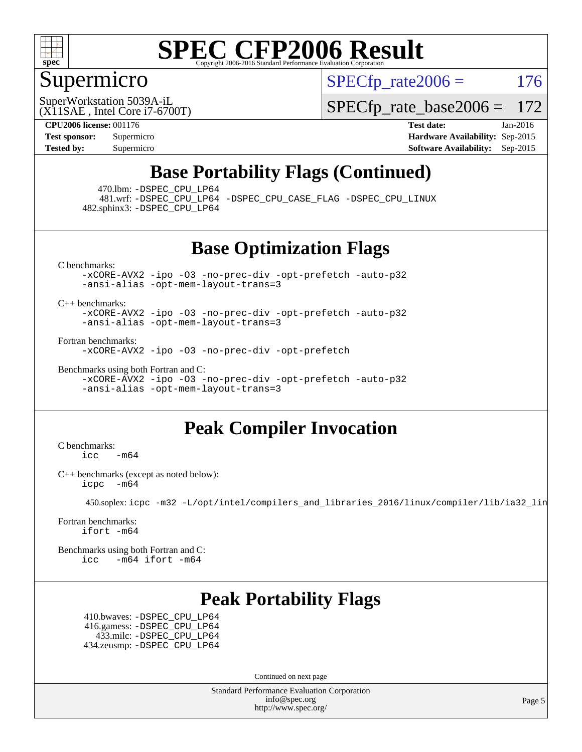

### Supermicro

 $SPECTp\_rate2006 = 176$ 

(X11SAE , Intel Core i7-6700T) SuperWorkstation 5039A-iL

[SPECfp\\_rate\\_base2006 =](http://www.spec.org/auto/cpu2006/Docs/result-fields.html#SPECfpratebase2006) 172

**[CPU2006 license:](http://www.spec.org/auto/cpu2006/Docs/result-fields.html#CPU2006license)** 001176 **[Test date:](http://www.spec.org/auto/cpu2006/Docs/result-fields.html#Testdate)** Jan-2016 **[Test sponsor:](http://www.spec.org/auto/cpu2006/Docs/result-fields.html#Testsponsor)** Supermicro **[Hardware Availability:](http://www.spec.org/auto/cpu2006/Docs/result-fields.html#HardwareAvailability)** Sep-2015 **[Tested by:](http://www.spec.org/auto/cpu2006/Docs/result-fields.html#Testedby)** Supermicro **Supermicro [Software Availability:](http://www.spec.org/auto/cpu2006/Docs/result-fields.html#SoftwareAvailability)** Sep-2015

### **[Base Portability Flags \(Continued\)](http://www.spec.org/auto/cpu2006/Docs/result-fields.html#BasePortabilityFlags)**

470.lbm: [-DSPEC\\_CPU\\_LP64](http://www.spec.org/cpu2006/results/res2016q1/cpu2006-20160120-38752.flags.html#suite_basePORTABILITY470_lbm_DSPEC_CPU_LP64)

 481.wrf: [-DSPEC\\_CPU\\_LP64](http://www.spec.org/cpu2006/results/res2016q1/cpu2006-20160120-38752.flags.html#suite_basePORTABILITY481_wrf_DSPEC_CPU_LP64) [-DSPEC\\_CPU\\_CASE\\_FLAG](http://www.spec.org/cpu2006/results/res2016q1/cpu2006-20160120-38752.flags.html#b481.wrf_baseCPORTABILITY_DSPEC_CPU_CASE_FLAG) [-DSPEC\\_CPU\\_LINUX](http://www.spec.org/cpu2006/results/res2016q1/cpu2006-20160120-38752.flags.html#b481.wrf_baseCPORTABILITY_DSPEC_CPU_LINUX) 482.sphinx3: [-DSPEC\\_CPU\\_LP64](http://www.spec.org/cpu2006/results/res2016q1/cpu2006-20160120-38752.flags.html#suite_basePORTABILITY482_sphinx3_DSPEC_CPU_LP64)

**[Base Optimization Flags](http://www.spec.org/auto/cpu2006/Docs/result-fields.html#BaseOptimizationFlags)**

[C benchmarks](http://www.spec.org/auto/cpu2006/Docs/result-fields.html#Cbenchmarks):

[-xCORE-AVX2](http://www.spec.org/cpu2006/results/res2016q1/cpu2006-20160120-38752.flags.html#user_CCbase_f-xAVX2_5f5fc0cbe2c9f62c816d3e45806c70d7) [-ipo](http://www.spec.org/cpu2006/results/res2016q1/cpu2006-20160120-38752.flags.html#user_CCbase_f-ipo) [-O3](http://www.spec.org/cpu2006/results/res2016q1/cpu2006-20160120-38752.flags.html#user_CCbase_f-O3) [-no-prec-div](http://www.spec.org/cpu2006/results/res2016q1/cpu2006-20160120-38752.flags.html#user_CCbase_f-no-prec-div) [-opt-prefetch](http://www.spec.org/cpu2006/results/res2016q1/cpu2006-20160120-38752.flags.html#user_CCbase_f-opt-prefetch) [-auto-p32](http://www.spec.org/cpu2006/results/res2016q1/cpu2006-20160120-38752.flags.html#user_CCbase_f-auto-p32) [-ansi-alias](http://www.spec.org/cpu2006/results/res2016q1/cpu2006-20160120-38752.flags.html#user_CCbase_f-ansi-alias) [-opt-mem-layout-trans=3](http://www.spec.org/cpu2006/results/res2016q1/cpu2006-20160120-38752.flags.html#user_CCbase_f-opt-mem-layout-trans_a7b82ad4bd7abf52556d4961a2ae94d5)

[C++ benchmarks:](http://www.spec.org/auto/cpu2006/Docs/result-fields.html#CXXbenchmarks)

[-xCORE-AVX2](http://www.spec.org/cpu2006/results/res2016q1/cpu2006-20160120-38752.flags.html#user_CXXbase_f-xAVX2_5f5fc0cbe2c9f62c816d3e45806c70d7) [-ipo](http://www.spec.org/cpu2006/results/res2016q1/cpu2006-20160120-38752.flags.html#user_CXXbase_f-ipo) [-O3](http://www.spec.org/cpu2006/results/res2016q1/cpu2006-20160120-38752.flags.html#user_CXXbase_f-O3) [-no-prec-div](http://www.spec.org/cpu2006/results/res2016q1/cpu2006-20160120-38752.flags.html#user_CXXbase_f-no-prec-div) [-opt-prefetch](http://www.spec.org/cpu2006/results/res2016q1/cpu2006-20160120-38752.flags.html#user_CXXbase_f-opt-prefetch) [-auto-p32](http://www.spec.org/cpu2006/results/res2016q1/cpu2006-20160120-38752.flags.html#user_CXXbase_f-auto-p32) [-ansi-alias](http://www.spec.org/cpu2006/results/res2016q1/cpu2006-20160120-38752.flags.html#user_CXXbase_f-ansi-alias) [-opt-mem-layout-trans=3](http://www.spec.org/cpu2006/results/res2016q1/cpu2006-20160120-38752.flags.html#user_CXXbase_f-opt-mem-layout-trans_a7b82ad4bd7abf52556d4961a2ae94d5)

[Fortran benchmarks](http://www.spec.org/auto/cpu2006/Docs/result-fields.html#Fortranbenchmarks):

[-xCORE-AVX2](http://www.spec.org/cpu2006/results/res2016q1/cpu2006-20160120-38752.flags.html#user_FCbase_f-xAVX2_5f5fc0cbe2c9f62c816d3e45806c70d7) [-ipo](http://www.spec.org/cpu2006/results/res2016q1/cpu2006-20160120-38752.flags.html#user_FCbase_f-ipo) [-O3](http://www.spec.org/cpu2006/results/res2016q1/cpu2006-20160120-38752.flags.html#user_FCbase_f-O3) [-no-prec-div](http://www.spec.org/cpu2006/results/res2016q1/cpu2006-20160120-38752.flags.html#user_FCbase_f-no-prec-div) [-opt-prefetch](http://www.spec.org/cpu2006/results/res2016q1/cpu2006-20160120-38752.flags.html#user_FCbase_f-opt-prefetch)

[Benchmarks using both Fortran and C](http://www.spec.org/auto/cpu2006/Docs/result-fields.html#BenchmarksusingbothFortranandC): [-xCORE-AVX2](http://www.spec.org/cpu2006/results/res2016q1/cpu2006-20160120-38752.flags.html#user_CC_FCbase_f-xAVX2_5f5fc0cbe2c9f62c816d3e45806c70d7) [-ipo](http://www.spec.org/cpu2006/results/res2016q1/cpu2006-20160120-38752.flags.html#user_CC_FCbase_f-ipo) [-O3](http://www.spec.org/cpu2006/results/res2016q1/cpu2006-20160120-38752.flags.html#user_CC_FCbase_f-O3) [-no-prec-div](http://www.spec.org/cpu2006/results/res2016q1/cpu2006-20160120-38752.flags.html#user_CC_FCbase_f-no-prec-div) [-opt-prefetch](http://www.spec.org/cpu2006/results/res2016q1/cpu2006-20160120-38752.flags.html#user_CC_FCbase_f-opt-prefetch) [-auto-p32](http://www.spec.org/cpu2006/results/res2016q1/cpu2006-20160120-38752.flags.html#user_CC_FCbase_f-auto-p32) [-ansi-alias](http://www.spec.org/cpu2006/results/res2016q1/cpu2006-20160120-38752.flags.html#user_CC_FCbase_f-ansi-alias) [-opt-mem-layout-trans=3](http://www.spec.org/cpu2006/results/res2016q1/cpu2006-20160120-38752.flags.html#user_CC_FCbase_f-opt-mem-layout-trans_a7b82ad4bd7abf52556d4961a2ae94d5)

### **[Peak Compiler Invocation](http://www.spec.org/auto/cpu2006/Docs/result-fields.html#PeakCompilerInvocation)**

[C benchmarks](http://www.spec.org/auto/cpu2006/Docs/result-fields.html#Cbenchmarks):  $\text{icc}$  -m64

[C++ benchmarks \(except as noted below\):](http://www.spec.org/auto/cpu2006/Docs/result-fields.html#CXXbenchmarksexceptasnotedbelow) [icpc -m64](http://www.spec.org/cpu2006/results/res2016q1/cpu2006-20160120-38752.flags.html#user_CXXpeak_intel_icpc_64bit_bedb90c1146cab66620883ef4f41a67e)

450.soplex: [icpc -m32 -L/opt/intel/compilers\\_and\\_libraries\\_2016/linux/compiler/lib/ia32\\_lin](http://www.spec.org/cpu2006/results/res2016q1/cpu2006-20160120-38752.flags.html#user_peakCXXLD450_soplex_intel_icpc_b4f50a394bdb4597aa5879c16bc3f5c5)

[Fortran benchmarks](http://www.spec.org/auto/cpu2006/Docs/result-fields.html#Fortranbenchmarks): [ifort -m64](http://www.spec.org/cpu2006/results/res2016q1/cpu2006-20160120-38752.flags.html#user_FCpeak_intel_ifort_64bit_ee9d0fb25645d0210d97eb0527dcc06e)

[Benchmarks using both Fortran and C](http://www.spec.org/auto/cpu2006/Docs/result-fields.html#BenchmarksusingbothFortranandC): [icc -m64](http://www.spec.org/cpu2006/results/res2016q1/cpu2006-20160120-38752.flags.html#user_CC_FCpeak_intel_icc_64bit_0b7121f5ab7cfabee23d88897260401c) [ifort -m64](http://www.spec.org/cpu2006/results/res2016q1/cpu2006-20160120-38752.flags.html#user_CC_FCpeak_intel_ifort_64bit_ee9d0fb25645d0210d97eb0527dcc06e)

### **[Peak Portability Flags](http://www.spec.org/auto/cpu2006/Docs/result-fields.html#PeakPortabilityFlags)**

 410.bwaves: [-DSPEC\\_CPU\\_LP64](http://www.spec.org/cpu2006/results/res2016q1/cpu2006-20160120-38752.flags.html#suite_peakPORTABILITY410_bwaves_DSPEC_CPU_LP64) 416.gamess: [-DSPEC\\_CPU\\_LP64](http://www.spec.org/cpu2006/results/res2016q1/cpu2006-20160120-38752.flags.html#suite_peakPORTABILITY416_gamess_DSPEC_CPU_LP64) 433.milc: [-DSPEC\\_CPU\\_LP64](http://www.spec.org/cpu2006/results/res2016q1/cpu2006-20160120-38752.flags.html#suite_peakPORTABILITY433_milc_DSPEC_CPU_LP64) 434.zeusmp: [-DSPEC\\_CPU\\_LP64](http://www.spec.org/cpu2006/results/res2016q1/cpu2006-20160120-38752.flags.html#suite_peakPORTABILITY434_zeusmp_DSPEC_CPU_LP64)

Continued on next page

Standard Performance Evaluation Corporation [info@spec.org](mailto:info@spec.org) <http://www.spec.org/>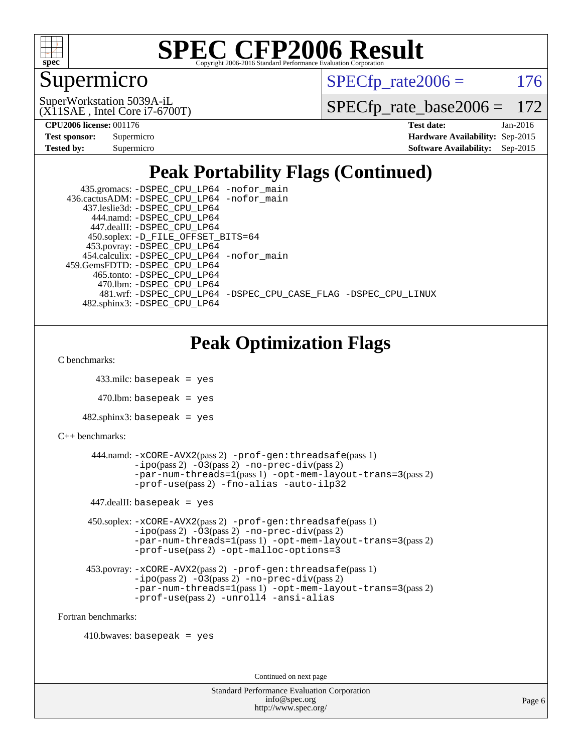

### Supermicro

 $SPECTp\_rate2006 = 176$ 

(X11SAE , Intel Core i7-6700T) SuperWorkstation 5039A-iL

[SPECfp\\_rate\\_base2006 =](http://www.spec.org/auto/cpu2006/Docs/result-fields.html#SPECfpratebase2006) 172

**[CPU2006 license:](http://www.spec.org/auto/cpu2006/Docs/result-fields.html#CPU2006license)** 001176 **[Test date:](http://www.spec.org/auto/cpu2006/Docs/result-fields.html#Testdate)** Jan-2016

| Test sponsor:     | Supermicro |
|-------------------|------------|
| <b>Tested by:</b> | Supermicro |

**[Hardware Availability:](http://www.spec.org/auto/cpu2006/Docs/result-fields.html#HardwareAvailability)** Sep-2015 **[Software Availability:](http://www.spec.org/auto/cpu2006/Docs/result-fields.html#SoftwareAvailability)** Sep-2015

## **[Peak Portability Flags \(Continued\)](http://www.spec.org/auto/cpu2006/Docs/result-fields.html#PeakPortabilityFlags)**

| 435.gromacs: -DSPEC_CPU_LP64 -nofor_main                       |
|----------------------------------------------------------------|
| 436.cactusADM: -DSPEC CPU LP64 -nofor main                     |
| 437.leslie3d: -DSPEC CPU LP64                                  |
| 444.namd: -DSPEC CPU LP64                                      |
| 447.dealII: -DSPEC CPU LP64                                    |
| 450.soplex: -D_FILE_OFFSET_BITS=64                             |
| 453.povray: -DSPEC_CPU_LP64                                    |
| 454.calculix: -DSPEC CPU LP64 -nofor main                      |
| 459. GemsFDTD: - DSPEC CPU LP64                                |
| 465.tonto: -DSPEC CPU LP64                                     |
| 470.1bm: - DSPEC CPU LP64                                      |
| 481.wrf: -DSPEC CPU LP64 -DSPEC CPU CASE FLAG -DSPEC CPU LINUX |
| 482.sphinx3: -DSPEC CPU LP64                                   |

## **[Peak Optimization Flags](http://www.spec.org/auto/cpu2006/Docs/result-fields.html#PeakOptimizationFlags)**

[C benchmarks](http://www.spec.org/auto/cpu2006/Docs/result-fields.html#Cbenchmarks):

```
 433.milc: basepeak = yes
```
 $470.$ lbm: basepeak = yes

```
482.sphinx3: basepeak = yes
```

```
C++ benchmarks:
```

```
 444.namd: -xCORE-AVX2(pass 2) -prof-gen:threadsafe(pass 1)
        -no-prec-div(pass 2)-par-num-threads=1(pass 1) -opt-mem-layout-trans=3(pass 2)
        -prof-use(pass 2) -fno-alias -auto-ilp32
447.dealII: basepeak = yes
 450.soplex: -xCORE-AVX2(pass 2) -prof-gen:threadsafe(pass 1)
         -ipo(pass 2) -O3(pass 2) -no-prec-div(pass 2)
         -par-num-threads=1(pass 1) -opt-mem-layout-trans=3(pass 2)
         -prof-use(pass 2) -opt-malloc-options=3
 453.povray: -xCORE-AVX2(pass 2) -prof-gen:threadsafe(pass 1)
         -no-prec-div(pass 2)-par-num-threads=1(pass 1) -opt-mem-layout-trans=3(pass 2)
         -prof-use(pass 2) -unroll4 -ansi-alias
```
[Fortran benchmarks](http://www.spec.org/auto/cpu2006/Docs/result-fields.html#Fortranbenchmarks):

 $410.bwaves: basepeak = yes$ 

Continued on next page

| <b>Standard Performance Evaluation Corporation</b> |
|----------------------------------------------------|
| info@spec.org                                      |
| http://www.spec.org/                               |